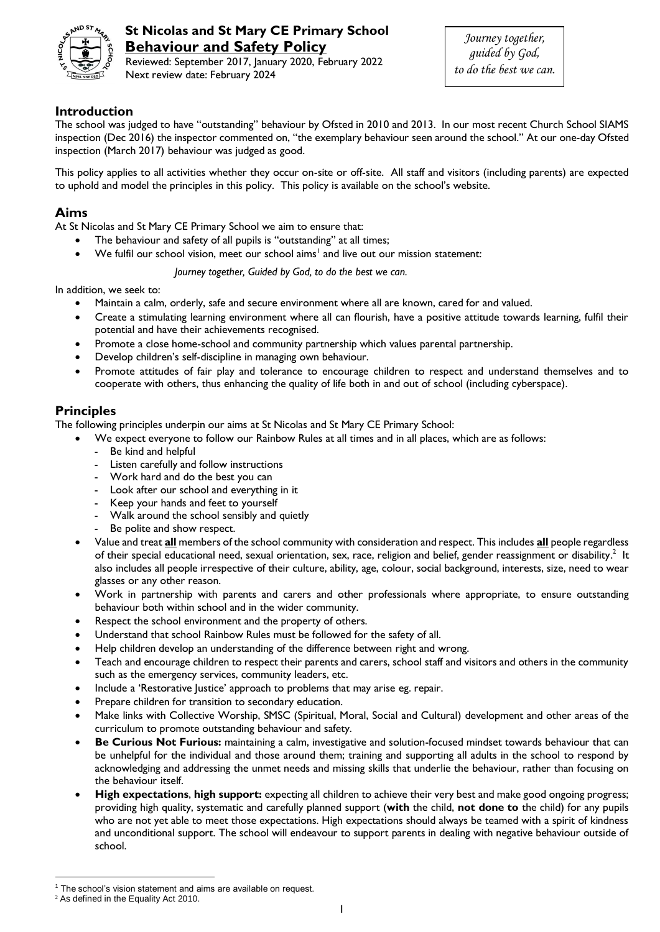

# **St Nicolas and St Mary CE Primary School Behaviour and Safety Policy**

Reviewed: September 2017, January 2020, February 2022 Next review date: February 2024

# **Introduction**

The school was judged to have "outstanding" behaviour by Ofsted in 2010 and 2013. In our most recent Church School SIAMS inspection (Dec 2016) the inspector commented on, "the exemplary behaviour seen around the school." At our one-day Ofsted inspection (March 2017) behaviour was judged as good.

This policy applies to all activities whether they occur on-site or off-site. All staff and visitors (including parents) are expected to uphold and model the principles in this policy. This policy is available on the school's website.

# **Aims**

At St Nicolas and St Mary CE Primary School we aim to ensure that:

- The behaviour and safety of all pupils is "outstanding" at all times;
- $\bullet$  We fulfil our school vision, meet our school aims<sup>1</sup> and live out our mission statement:

*Journey together, Guided by God, to do the best we can.*

In addition, we seek to:

- Maintain a calm, orderly, safe and secure environment where all are known, cared for and valued.
- Create a stimulating learning environment where all can flourish, have a positive attitude towards learning, fulfil their potential and have their achievements recognised.
- Promote a close home-school and community partnership which values parental partnership.
- Develop children's self-discipline in managing own behaviour.
- Promote attitudes of fair play and tolerance to encourage children to respect and understand themselves and to cooperate with others, thus enhancing the quality of life both in and out of school (including cyberspace).

## **Principles**

The following principles underpin our aims at St Nicolas and St Mary CE Primary School:

- We expect everyone to follow our Rainbow Rules at all times and in all places, which are as follows:
	- Be kind and helpful
	- Listen carefully and follow instructions
	- Work hard and do the best you can
	- Look after our school and everything in it
	- Keep your hands and feet to yourself
	- Walk around the school sensibly and quietly
	- Be polite and show respect.
	- Value and treat **all** members of the school community with consideration and respect. This includes **all** people regardless of their special educational need, sexual orientation, sex, race, religion and belief, gender reassignment or disability.<sup>2</sup> It also includes all people irrespective of their culture, ability, age, colour, social background, interests, size, need to wear glasses or any other reason.
	- Work in partnership with parents and carers and other professionals where appropriate, to ensure outstanding behaviour both within school and in the wider community.
	- Respect the school environment and the property of others.
	- Understand that school Rainbow Rules must be followed for the safety of all.
	- Help children develop an understanding of the difference between right and wrong.
	- Teach and encourage children to respect their parents and carers, school staff and visitors and others in the community such as the emergency services, community leaders, etc.
	- Include a 'Restorative Justice' approach to problems that may arise eg. repair.
	- Prepare children for transition to secondary education.
	- Make links with Collective Worship, SMSC (Spiritual, Moral, Social and Cultural) development and other areas of the curriculum to promote outstanding behaviour and safety.
	- **Be Curious Not Furious:** maintaining a calm, investigative and solution-focused mindset towards behaviour that can be unhelpful for the individual and those around them; training and supporting all adults in the school to respond by acknowledging and addressing the unmet needs and missing skills that underlie the behaviour, rather than focusing on the behaviour itself.
	- **High expectations**, **high support:** expecting all children to achieve their very best and make good ongoing progress; providing high quality, systematic and carefully planned support (**with** the child, **not done to** the child) for any pupils who are not yet able to meet those expectations. High expectations should always be teamed with a spirit of kindness and unconditional support. The school will endeavour to support parents in dealing with negative behaviour outside of school.

 $\overline{a}$ 

The school's vision statement and aims are available on request.

<sup>2</sup> As defined in the Equality Act 2010.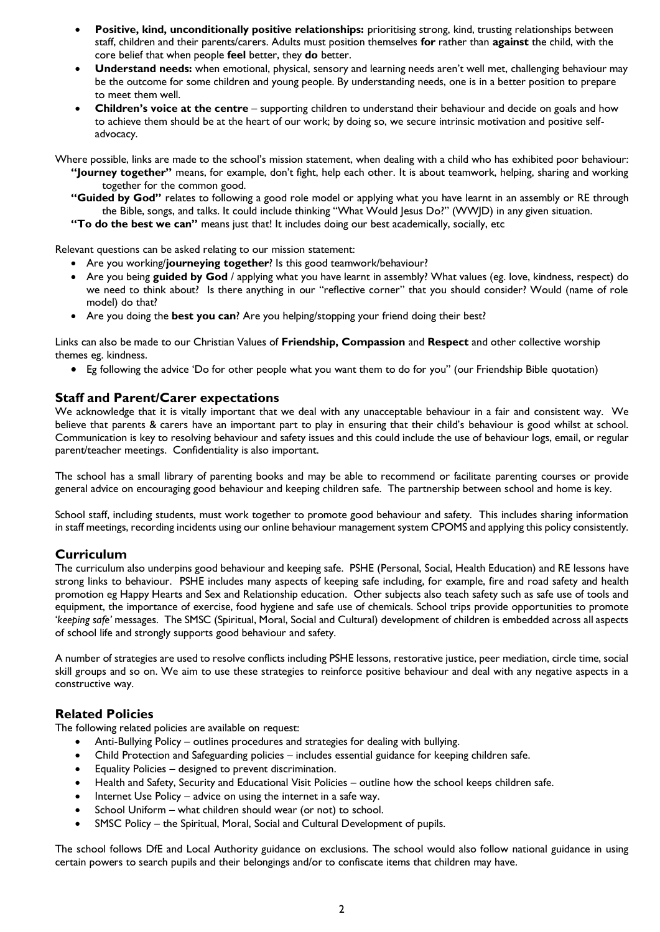- **Positive, kind, unconditionally positive relationships:** prioritising strong, kind, trusting relationships between staff, children and their parents/carers. Adults must position themselves **for** rather than **against** the child, with the core belief that when people **feel** better, they **do** better.
- **Understand needs:** when emotional, physical, sensory and learning needs aren't well met, challenging behaviour may be the outcome for some children and young people. By understanding needs, one is in a better position to prepare to meet them well.
- **Children's voice at the centre** supporting children to understand their behaviour and decide on goals and how to achieve them should be at the heart of our work; by doing so, we secure intrinsic motivation and positive selfadvocacy.

Where possible, links are made to the school's mission statement, when dealing with a child who has exhibited poor behaviour: **"Journey together"** means, for example, don't fight, help each other. It is about teamwork, helping, sharing and working

together for the common good. **"Guided by God"** relates to following a good role model or applying what you have learnt in an assembly or RE through

the Bible, songs, and talks. It could include thinking "What Would Jesus Do?" (WWJD) in any given situation.

**"To do the best we can"** means just that! It includes doing our best academically, socially, etc

Relevant questions can be asked relating to our mission statement:

- Are you working/**journeying together**? Is this good teamwork/behaviour?
- Are you being **guided by God** / applying what you have learnt in assembly? What values (eg. love, kindness, respect) do we need to think about? Is there anything in our "reflective corner" that you should consider? Would (name of role model) do that?
- Are you doing the **best you can**? Are you helping/stopping your friend doing their best?

Links can also be made to our Christian Values of **Friendship, Compassion** and **Respect** and other collective worship themes eg. kindness.

Eg following the advice 'Do for other people what you want them to do for you" (our Friendship Bible quotation)

## **Staff and Parent/Carer expectations**

We acknowledge that it is vitally important that we deal with any unacceptable behaviour in a fair and consistent way. We believe that parents & carers have an important part to play in ensuring that their child's behaviour is good whilst at school. Communication is key to resolving behaviour and safety issues and this could include the use of behaviour logs, email, or regular parent/teacher meetings. Confidentiality is also important.

The school has a small library of parenting books and may be able to recommend or facilitate parenting courses or provide general advice on encouraging good behaviour and keeping children safe. The partnership between school and home is key.

School staff, including students, must work together to promote good behaviour and safety. This includes sharing information in staff meetings, recording incidents using our online behaviour management system CPOMS and applying this policy consistently.

# **Curriculum**

The curriculum also underpins good behaviour and keeping safe. PSHE (Personal, Social, Health Education) and RE lessons have strong links to behaviour. PSHE includes many aspects of keeping safe including, for example, fire and road safety and health promotion eg Happy Hearts and Sex and Relationship education. Other subjects also teach safety such as safe use of tools and equipment, the importance of exercise, food hygiene and safe use of chemicals. School trips provide opportunities to promote '*keeping safe'* messages. The SMSC (Spiritual, Moral, Social and Cultural) development of children is embedded across all aspects of school life and strongly supports good behaviour and safety.

A number of strategies are used to resolve conflicts including PSHE lessons, restorative justice, peer mediation, circle time, social skill groups and so on. We aim to use these strategies to reinforce positive behaviour and deal with any negative aspects in a constructive way.

## **Related Policies**

The following related policies are available on request:

- Anti-Bullying Policy outlines procedures and strategies for dealing with bullying.
- Child Protection and Safeguarding policies includes essential guidance for keeping children safe.
- Equality Policies designed to prevent discrimination.
- Health and Safety, Security and Educational Visit Policies outline how the school keeps children safe.
- Internet Use Policy advice on using the internet in a safe way.
- School Uniform what children should wear (or not) to school.
- SMSC Policy the Spiritual, Moral, Social and Cultural Development of pupils.

The school follows DfE and Local Authority guidance on exclusions. The school would also follow national guidance in using certain powers to search pupils and their belongings and/or to confiscate items that children may have.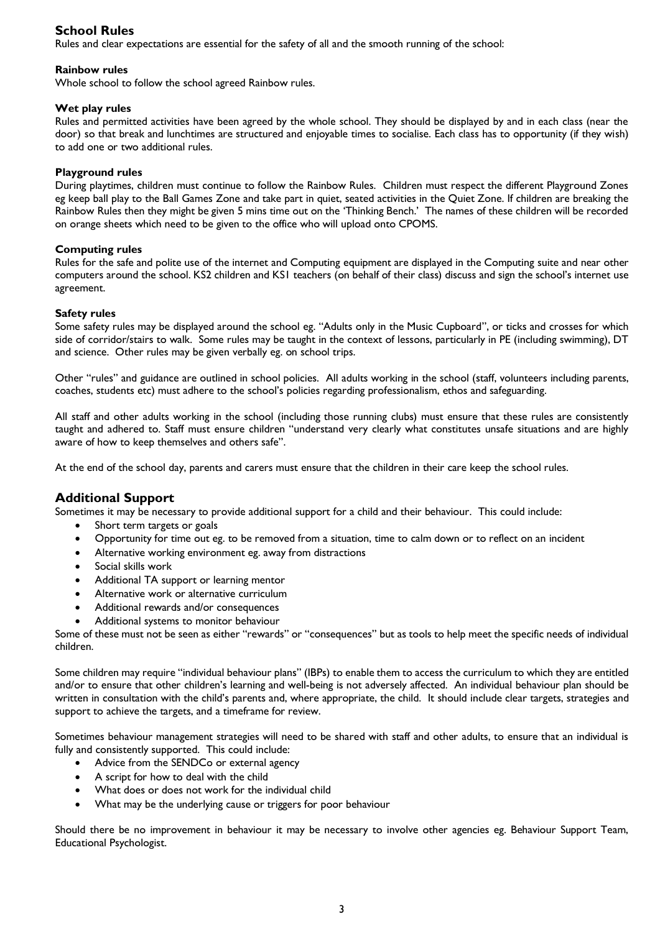# **School Rules**

Rules and clear expectations are essential for the safety of all and the smooth running of the school:

#### **Rainbow rules**

Whole school to follow the school agreed Rainbow rules.

#### **Wet play rules**

Rules and permitted activities have been agreed by the whole school. They should be displayed by and in each class (near the door) so that break and lunchtimes are structured and enjoyable times to socialise. Each class has to opportunity (if they wish) to add one or two additional rules.

#### **Playground rules**

During playtimes, children must continue to follow the Rainbow Rules. Children must respect the different Playground Zones eg keep ball play to the Ball Games Zone and take part in quiet, seated activities in the Quiet Zone. If children are breaking the Rainbow Rules then they might be given 5 mins time out on the 'Thinking Bench.' The names of these children will be recorded on orange sheets which need to be given to the office who will upload onto CPOMS.

#### **Computing rules**

Rules for the safe and polite use of the internet and Computing equipment are displayed in the Computing suite and near other computers around the school. KS2 children and KS1 teachers (on behalf of their class) discuss and sign the school's internet use agreement.

#### **Safety rules**

Some safety rules may be displayed around the school eg. "Adults only in the Music Cupboard", or ticks and crosses for which side of corridor/stairs to walk. Some rules may be taught in the context of lessons, particularly in PE (including swimming), DT and science. Other rules may be given verbally eg. on school trips.

Other "rules" and guidance are outlined in school policies. All adults working in the school (staff, volunteers including parents, coaches, students etc) must adhere to the school's policies regarding professionalism, ethos and safeguarding.

All staff and other adults working in the school (including those running clubs) must ensure that these rules are consistently taught and adhered to. Staff must ensure children "understand very clearly what constitutes unsafe situations and are highly aware of how to keep themselves and others safe".

At the end of the school day, parents and carers must ensure that the children in their care keep the school rules.

# **Additional Support**

Sometimes it may be necessary to provide additional support for a child and their behaviour. This could include:

- Short term targets or goals
- Opportunity for time out eg. to be removed from a situation, time to calm down or to reflect on an incident
- Alternative working environment eg. away from distractions
- Social skills work
- Additional TA support or learning mentor
- Alternative work or alternative curriculum
- Additional rewards and/or consequences
- Additional systems to monitor behaviour

Some of these must not be seen as either "rewards" or "consequences" but as tools to help meet the specific needs of individual children.

Some children may require "individual behaviour plans" (IBPs) to enable them to access the curriculum to which they are entitled and/or to ensure that other children's learning and well-being is not adversely affected. An individual behaviour plan should be written in consultation with the child's parents and, where appropriate, the child. It should include clear targets, strategies and support to achieve the targets, and a timeframe for review.

Sometimes behaviour management strategies will need to be shared with staff and other adults, to ensure that an individual is fully and consistently supported. This could include:

- Advice from the SENDCo or external agency
- A script for how to deal with the child
- What does or does not work for the individual child
- What may be the underlying cause or triggers for poor behaviour

Should there be no improvement in behaviour it may be necessary to involve other agencies eg. Behaviour Support Team, Educational Psychologist.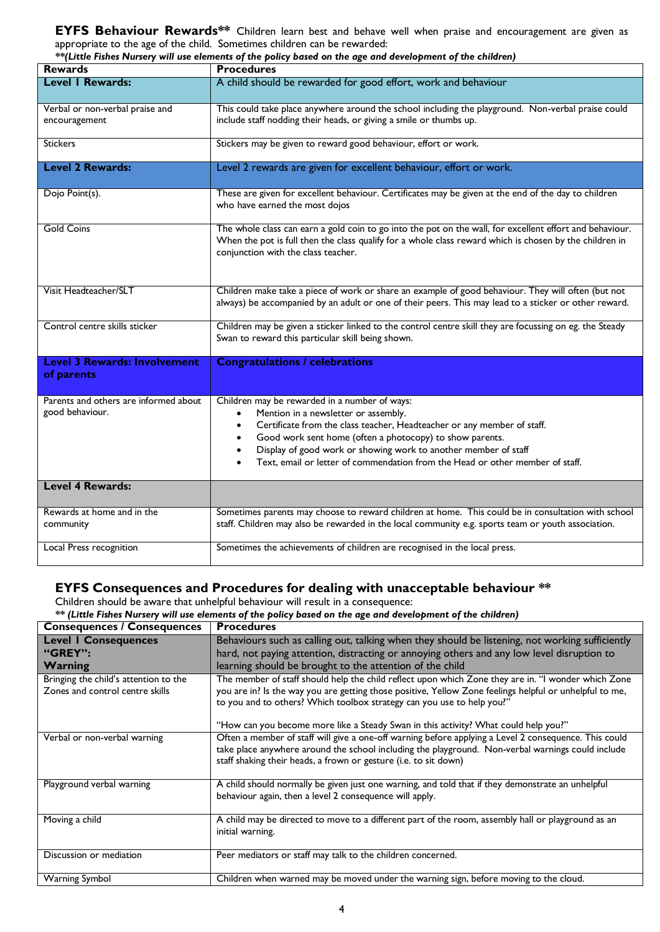**EYFS Behaviour Rewards\*\*** Children learn best and behave well when praise and encouragement are given as appropriate to the age of the child. Sometimes children can be rewarded:

|                                                          | ** (Little Fishes Nursery will use elements of the policy based on the age and development of the children)                                                                                                                                                                                                                                                                                                             |  |  |
|----------------------------------------------------------|-------------------------------------------------------------------------------------------------------------------------------------------------------------------------------------------------------------------------------------------------------------------------------------------------------------------------------------------------------------------------------------------------------------------------|--|--|
| <b>Rewards</b>                                           | <b>Procedures</b>                                                                                                                                                                                                                                                                                                                                                                                                       |  |  |
| <b>Level I Rewards:</b>                                  | A child should be rewarded for good effort, work and behaviour                                                                                                                                                                                                                                                                                                                                                          |  |  |
| Verbal or non-verbal praise and<br>encouragement         | This could take place anywhere around the school including the playground. Non-verbal praise could<br>include staff nodding their heads, or giving a smile or thumbs up.                                                                                                                                                                                                                                                |  |  |
| <b>Stickers</b>                                          | Stickers may be given to reward good behaviour, effort or work.                                                                                                                                                                                                                                                                                                                                                         |  |  |
| <b>Level 2 Rewards:</b>                                  | Level 2 rewards are given for excellent behaviour, effort or work.                                                                                                                                                                                                                                                                                                                                                      |  |  |
| Dojo Point(s).                                           | These are given for excellent behaviour. Certificates may be given at the end of the day to children<br>who have earned the most dojos                                                                                                                                                                                                                                                                                  |  |  |
| <b>Gold Coins</b>                                        | The whole class can earn a gold coin to go into the pot on the wall, for excellent effort and behaviour.<br>When the pot is full then the class qualify for a whole class reward which is chosen by the children in<br>conjunction with the class teacher.                                                                                                                                                              |  |  |
| Visit Headteacher/SLT                                    | Children make take a piece of work or share an example of good behaviour. They will often (but not<br>always) be accompanied by an adult or one of their peers. This may lead to a sticker or other reward.                                                                                                                                                                                                             |  |  |
| Control centre skills sticker                            | Children may be given a sticker linked to the control centre skill they are focussing on eg. the Steady<br>Swan to reward this particular skill being shown.                                                                                                                                                                                                                                                            |  |  |
| <b>Level 3 Rewards: Involvement</b><br>of parents        | <b>Congratulations / celebrations</b>                                                                                                                                                                                                                                                                                                                                                                                   |  |  |
| Parents and others are informed about<br>good behaviour. | Children may be rewarded in a number of ways:<br>Mention in a newsletter or assembly.<br>$\bullet$<br>Certificate from the class teacher, Headteacher or any member of staff.<br>$\bullet$<br>Good work sent home (often a photocopy) to show parents.<br>$\bullet$<br>Display of good work or showing work to another member of staff<br>Text, email or letter of commendation from the Head or other member of staff. |  |  |
| <b>Level 4 Rewards:</b>                                  |                                                                                                                                                                                                                                                                                                                                                                                                                         |  |  |
| Rewards at home and in the<br>community                  | Sometimes parents may choose to reward children at home. This could be in consultation with school<br>staff. Children may also be rewarded in the local community e.g. sports team or youth association.                                                                                                                                                                                                                |  |  |
| Local Press recognition                                  | Sometimes the achievements of children are recognised in the local press.                                                                                                                                                                                                                                                                                                                                               |  |  |

## **EYFS Consequences and Procedures for dealing with unacceptable behaviour \*\***

Children should be aware that unhelpful behaviour will result in a consequence:

|  |  |  |  | ** (Little Fishes Nursery will use elements of the policy based on the age and development of the children) |  |
|--|--|--|--|-------------------------------------------------------------------------------------------------------------|--|
|  |  |  |  |                                                                                                             |  |

| <b>Consequences / Consequences</b>                                       | <b>Procedures</b>                                                                                                                                                                                                                                                                                                                                                               |
|--------------------------------------------------------------------------|---------------------------------------------------------------------------------------------------------------------------------------------------------------------------------------------------------------------------------------------------------------------------------------------------------------------------------------------------------------------------------|
| <b>Level I Consequences</b><br>"GREY":<br>Warning                        | Behaviours such as calling out, talking when they should be listening, not working sufficiently<br>hard, not paying attention, distracting or annoying others and any low level disruption to<br>learning should be brought to the attention of the child                                                                                                                       |
| Bringing the child's attention to the<br>Zones and control centre skills | The member of staff should help the child reflect upon which Zone they are in. "I wonder which Zone<br>you are in? Is the way you are getting those positive, Yellow Zone feelings helpful or unhelpful to me,<br>to you and to others? Which toolbox strategy can you use to help you?"<br>"How can you become more like a Steady Swan in this activity? What could help you?" |
| Verbal or non-verbal warning                                             | Often a member of staff will give a one-off warning before applying a Level 2 consequence. This could<br>take place anywhere around the school including the playground. Non-verbal warnings could include<br>staff shaking their heads, a frown or gesture (i.e. to sit down)                                                                                                  |
| Playground verbal warning                                                | A child should normally be given just one warning, and told that if they demonstrate an unhelpful<br>behaviour again, then a level 2 consequence will apply.                                                                                                                                                                                                                    |
| Moving a child                                                           | A child may be directed to move to a different part of the room, assembly hall or playground as an<br>initial warning.                                                                                                                                                                                                                                                          |
| Discussion or mediation                                                  | Peer mediators or staff may talk to the children concerned.                                                                                                                                                                                                                                                                                                                     |
| <b>Warning Symbol</b>                                                    | Children when warned may be moved under the warning sign, before moving to the cloud.                                                                                                                                                                                                                                                                                           |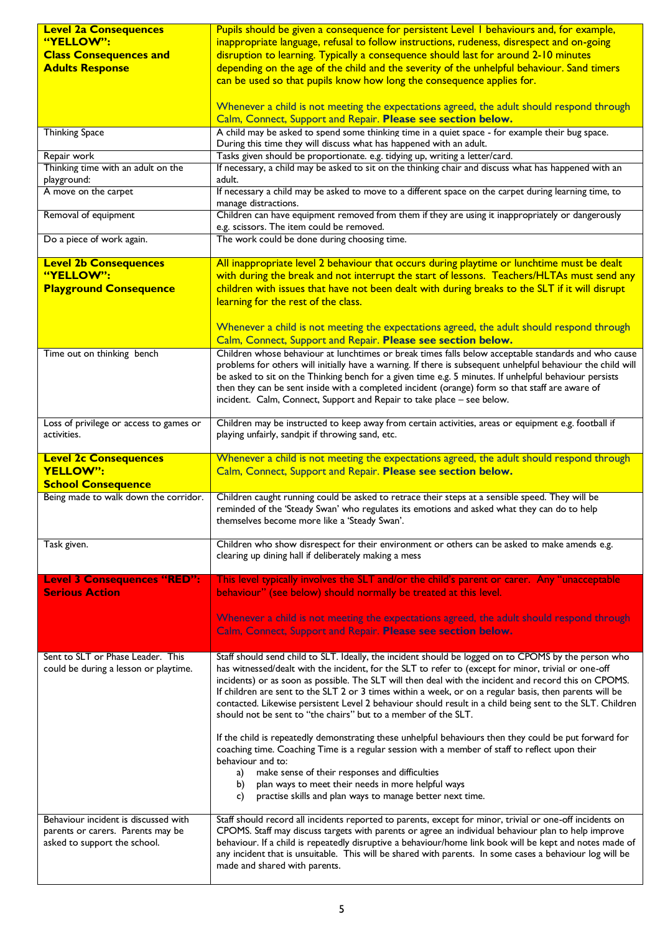| <b>Level 2a Consequences</b>                                      | Pupils should be given a consequence for persistent Level I behaviours and, for example,                                                                                                                         |
|-------------------------------------------------------------------|------------------------------------------------------------------------------------------------------------------------------------------------------------------------------------------------------------------|
| "YELLOW":                                                         | inappropriate language, refusal to follow instructions, rudeness, disrespect and on-going                                                                                                                        |
| <b>Class Consequences and</b>                                     | disruption to learning. Typically a consequence should last for around 2-10 minutes                                                                                                                              |
| <b>Adults Response</b>                                            | depending on the age of the child and the severity of the unhelpful behaviour. Sand timers                                                                                                                       |
|                                                                   | can be used so that pupils know how long the consequence applies for.                                                                                                                                            |
|                                                                   |                                                                                                                                                                                                                  |
|                                                                   | Whenever a child is not meeting the expectations agreed, the adult should respond through                                                                                                                        |
|                                                                   | Calm, Connect, Support and Repair. Please see section below.                                                                                                                                                     |
| <b>Thinking Space</b>                                             | A child may be asked to spend some thinking time in a quiet space - for example their bug space.                                                                                                                 |
|                                                                   | During this time they will discuss what has happened with an adult.                                                                                                                                              |
| Repair work<br>Thinking time with an adult on the                 | Tasks given should be proportionate. e.g. tidying up, writing a letter/card.<br>If necessary, a child may be asked to sit on the thinking chair and discuss what has happened with an                            |
| playground:                                                       | adult.                                                                                                                                                                                                           |
| A move on the carpet                                              | If necessary a child may be asked to move to a different space on the carpet during learning time, to                                                                                                            |
|                                                                   | manage distractions.                                                                                                                                                                                             |
| Removal of equipment                                              | Children can have equipment removed from them if they are using it inappropriately or dangerously                                                                                                                |
|                                                                   | e.g. scissors. The item could be removed.                                                                                                                                                                        |
| Do a piece of work again.                                         | The work could be done during choosing time.                                                                                                                                                                     |
| <b>Level 2b Consequences</b>                                      | All inappropriate level 2 behaviour that occurs during playtime or lunchtime must be dealt                                                                                                                       |
| "YELLOW":                                                         | with during the break and not interrupt the start of lessons. Teachers/HLTAs must send any                                                                                                                       |
| <b>Playground Consequence</b>                                     | children with issues that have not been dealt with during breaks to the SLT if it will disrupt                                                                                                                   |
|                                                                   | learning for the rest of the class.                                                                                                                                                                              |
|                                                                   |                                                                                                                                                                                                                  |
|                                                                   | Whenever a child is not meeting the expectations agreed, the adult should respond through                                                                                                                        |
|                                                                   | Calm, Connect, Support and Repair. Please see section below.                                                                                                                                                     |
| Time out on thinking bench                                        | Children whose behaviour at lunchtimes or break times falls below acceptable standards and who cause                                                                                                             |
|                                                                   | problems for others will initially have a warning. If there is subsequent unhelpful behaviour the child will                                                                                                     |
|                                                                   | be asked to sit on the Thinking bench for a given time e.g. 5 minutes. If unhelpful behaviour persists                                                                                                           |
|                                                                   | then they can be sent inside with a completed incident (orange) form so that staff are aware of                                                                                                                  |
|                                                                   | incident. Calm, Connect, Support and Repair to take place - see below.                                                                                                                                           |
| Loss of privilege or access to games or                           | Children may be instructed to keep away from certain activities, areas or equipment e.g. football if                                                                                                             |
| activities.                                                       | playing unfairly, sandpit if throwing sand, etc.                                                                                                                                                                 |
|                                                                   |                                                                                                                                                                                                                  |
|                                                                   |                                                                                                                                                                                                                  |
| <b>Level 2c Consequences</b>                                      | Whenever a child is not meeting the expectations agreed, the adult should respond through                                                                                                                        |
| YELLOW":                                                          | Calm, Connect, Support and Repair. Please see section below.                                                                                                                                                     |
| <b>School Consequence</b>                                         |                                                                                                                                                                                                                  |
| Being made to walk down the corridor.                             | Children caught running could be asked to retrace their steps at a sensible speed. They will be                                                                                                                  |
|                                                                   | reminded of the 'Steady Swan' who regulates its emotions and asked what they can do to help                                                                                                                      |
|                                                                   | themselves become more like a 'Steady Swan'.                                                                                                                                                                     |
|                                                                   |                                                                                                                                                                                                                  |
| Task given.                                                       | Children who show disrespect for their environment or others can be asked to make amends e.g.<br>clearing up dining hall if deliberately making a mess                                                           |
|                                                                   |                                                                                                                                                                                                                  |
| <b>Level 3 Consequences "RED":</b>                                | This level typically involves the SLT and/or the child's parent or carer. Any "unacceptable                                                                                                                      |
| <b>Serious Action</b>                                             | behaviour" (see below) should normally be treated at this level.                                                                                                                                                 |
|                                                                   |                                                                                                                                                                                                                  |
|                                                                   | Whenever a child is not meeting the expectations agreed, the adult should respond through                                                                                                                        |
|                                                                   | Calm, Connect, Support and Repair. Please see section below.                                                                                                                                                     |
|                                                                   |                                                                                                                                                                                                                  |
| Sent to SLT or Phase Leader. This                                 | Staff should send child to SLT. Ideally, the incident should be logged on to CPOMS by the person who                                                                                                             |
| could be during a lesson or playtime.                             | has witnessed/dealt with the incident, for the SLT to refer to (except for minor, trivial or one-off                                                                                                             |
|                                                                   | incidents) or as soon as possible. The SLT will then deal with the incident and record this on CPOMS.<br>If children are sent to the SLT 2 or 3 times within a week, or on a regular basis, then parents will be |
|                                                                   | contacted. Likewise persistent Level 2 behaviour should result in a child being sent to the SLT. Children                                                                                                        |
|                                                                   | should not be sent to "the chairs" but to a member of the SLT.                                                                                                                                                   |
|                                                                   |                                                                                                                                                                                                                  |
|                                                                   | If the child is repeatedly demonstrating these unhelpful behaviours then they could be put forward for                                                                                                           |
|                                                                   | coaching time. Coaching Time is a regular session with a member of staff to reflect upon their<br>behaviour and to:                                                                                              |
|                                                                   | make sense of their responses and difficulties<br>a)                                                                                                                                                             |
|                                                                   | plan ways to meet their needs in more helpful ways<br>b)                                                                                                                                                         |
|                                                                   | practise skills and plan ways to manage better next time.<br>C)                                                                                                                                                  |
|                                                                   |                                                                                                                                                                                                                  |
| Behaviour incident is discussed with                              | Staff should record all incidents reported to parents, except for minor, trivial or one-off incidents on                                                                                                         |
| parents or carers. Parents may be<br>asked to support the school. | CPOMS. Staff may discuss targets with parents or agree an individual behaviour plan to help improve<br>behaviour. If a child is repeatedly disruptive a behaviour/home link book will be kept and notes made of  |
|                                                                   | any incident that is unsuitable. This will be shared with parents. In some cases a behaviour log will be<br>made and shared with parents.                                                                        |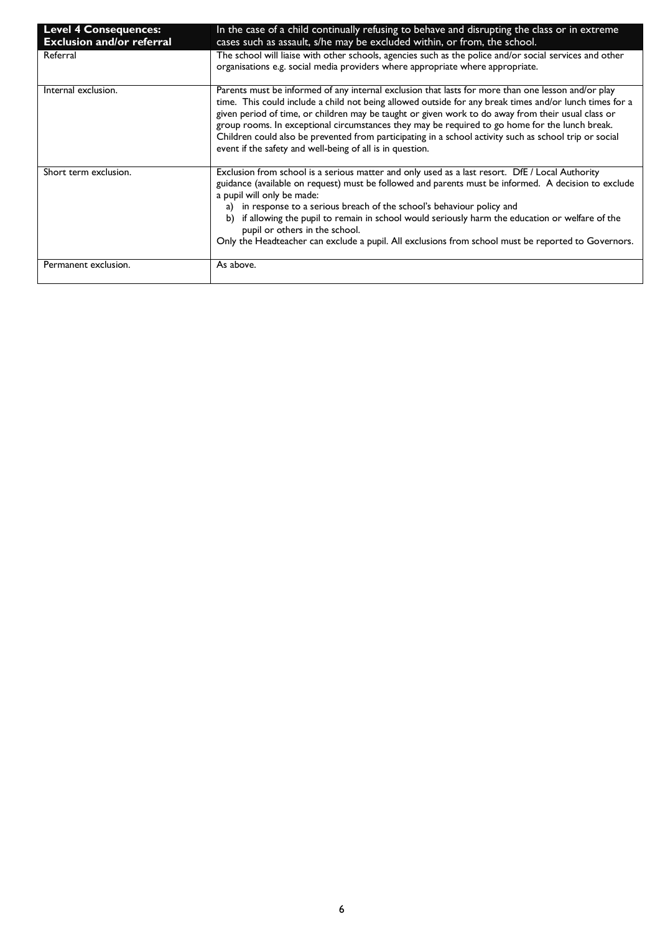| <b>Level 4 Consequences:</b>     | In the case of a child continually refusing to behave and disrupting the class or in extreme                                                                                                                                                                                                                                                                                                                                                                                                                                                                                                 |
|----------------------------------|----------------------------------------------------------------------------------------------------------------------------------------------------------------------------------------------------------------------------------------------------------------------------------------------------------------------------------------------------------------------------------------------------------------------------------------------------------------------------------------------------------------------------------------------------------------------------------------------|
| <b>Exclusion and/or referral</b> | cases such as assault, s/he may be excluded within, or from, the school.                                                                                                                                                                                                                                                                                                                                                                                                                                                                                                                     |
| Referral                         | The school will liaise with other schools, agencies such as the police and/or social services and other<br>organisations e.g. social media providers where appropriate where appropriate.                                                                                                                                                                                                                                                                                                                                                                                                    |
| Internal exclusion.              | Parents must be informed of any internal exclusion that lasts for more than one lesson and/or play<br>time. This could include a child not being allowed outside for any break times and/or lunch times for a<br>given period of time, or children may be taught or given work to do away from their usual class or<br>group rooms. In exceptional circumstances they may be required to go home for the lunch break.<br>Children could also be prevented from participating in a school activity such as school trip or social<br>event if the safety and well-being of all is in question. |
| Short term exclusion.            | Exclusion from school is a serious matter and only used as a last resort. DfE / Local Authority<br>guidance (available on request) must be followed and parents must be informed. A decision to exclude<br>a pupil will only be made:<br>in response to a serious breach of the school's behaviour policy and<br>a)<br>if allowing the pupil to remain in school would seriously harm the education or welfare of the<br>b)<br>pupil or others in the school.<br>Only the Headteacher can exclude a pupil. All exclusions from school must be reported to Governors.                         |
| Permanent exclusion.             | As above.                                                                                                                                                                                                                                                                                                                                                                                                                                                                                                                                                                                    |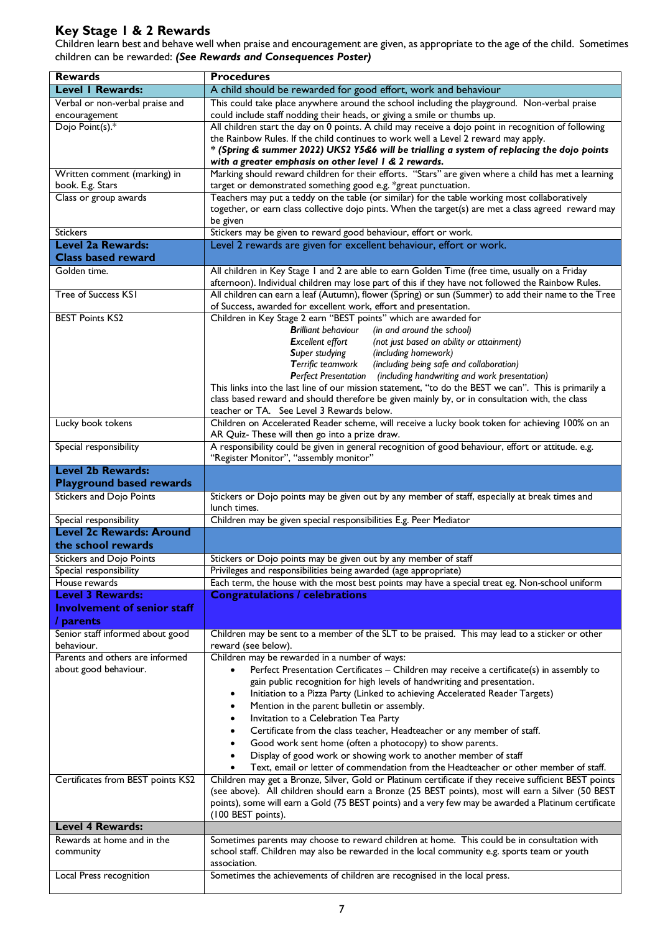# **Key Stage 1 & 2 Rewards**

Children learn best and behave well when praise and encouragement are given, as appropriate to the age of the child. Sometimes children can be rewarded: *(See Rewards and Consequences Poster)*

| <b>Rewards</b>                                              | <b>Procedures</b>                                                                                                                                                                              |
|-------------------------------------------------------------|------------------------------------------------------------------------------------------------------------------------------------------------------------------------------------------------|
| <b>Level I Rewards:</b>                                     | A child should be rewarded for good effort, work and behaviour                                                                                                                                 |
| Verbal or non-verbal praise and                             | This could take place anywhere around the school including the playground. Non-verbal praise                                                                                                   |
| encouragement                                               | could include staff nodding their heads, or giving a smile or thumbs up.                                                                                                                       |
| Dojo Point(s).*                                             | All children start the day on 0 points. A child may receive a dojo point in recognition of following                                                                                           |
|                                                             | the Rainbow Rules. If the child continues to work well a Level 2 reward may apply.                                                                                                             |
|                                                             | * (Spring & summer 2022) UKS2 Y5&6 will be trialling a system of replacing the dojo points                                                                                                     |
|                                                             | with a greater emphasis on other level I & 2 rewards.                                                                                                                                          |
| Written comment (marking) in<br>book. E.g. Stars            | Marking should reward children for their efforts. "Stars" are given where a child has met a learning<br>target or demonstrated something good e.g. *great punctuation.                         |
| Class or group awards                                       | Teachers may put a teddy on the table (or similar) for the table working most collaboratively                                                                                                  |
|                                                             | together, or earn class collective dojo pints. When the target(s) are met a class agreed reward may                                                                                            |
|                                                             | be given                                                                                                                                                                                       |
| <b>Stickers</b>                                             | Stickers may be given to reward good behaviour, effort or work.                                                                                                                                |
| <b>Level 2a Rewards:</b>                                    | Level 2 rewards are given for excellent behaviour, effort or work.                                                                                                                             |
| <b>Class based reward</b>                                   |                                                                                                                                                                                                |
| Golden time.                                                | All children in Key Stage 1 and 2 are able to earn Golden Time (free time, usually on a Friday                                                                                                 |
|                                                             | afternoon). Individual children may lose part of this if they have not followed the Rainbow Rules.                                                                                             |
| Tree of Success KSI                                         | All children can earn a leaf (Autumn), flower (Spring) or sun (Summer) to add their name to the Tree<br>of Success, awarded for excellent work, effort and presentation.                       |
| <b>BEST Points KS2</b>                                      | Children in Key Stage 2 earn "BEST points" which are awarded for                                                                                                                               |
|                                                             | <b>Brilliant behaviour</b><br>(in and around the school)                                                                                                                                       |
|                                                             | <b>Excellent effort</b><br>(not just based on ability or attainment)                                                                                                                           |
|                                                             | Super studying<br>(including homework)                                                                                                                                                         |
|                                                             | Terrific teamwork<br>(including being safe and collaboration)<br>Perfect Presentation (including handwriting and work presentation)                                                            |
|                                                             | This links into the last line of our mission statement, "to do the BEST we can". This is primarily a                                                                                           |
|                                                             | class based reward and should therefore be given mainly by, or in consultation with, the class                                                                                                 |
|                                                             | teacher or TA. See Level 3 Rewards below.                                                                                                                                                      |
| Lucky book tokens                                           | Children on Accelerated Reader scheme, will receive a lucky book token for achieving 100% on an                                                                                                |
|                                                             | AR Quiz- These will then go into a prize draw.                                                                                                                                                 |
| Special responsibility                                      | A responsibility could be given in general recognition of good behaviour, effort or attitude. e.g.                                                                                             |
|                                                             | "Register Monitor", "assembly monitor"                                                                                                                                                         |
| <b>Level 2b Rewards:</b><br><b>Playground based rewards</b> |                                                                                                                                                                                                |
| <b>Stickers and Dojo Points</b>                             | Stickers or Dojo points may be given out by any member of staff, especially at break times and                                                                                                 |
|                                                             | lunch times.                                                                                                                                                                                   |
| Special responsibility                                      | Children may be given special responsibilities E.g. Peer Mediator                                                                                                                              |
| <b>Level 2c Rewards: Around</b>                             |                                                                                                                                                                                                |
| the school rewards                                          |                                                                                                                                                                                                |
| <b>Stickers and Dojo Points</b>                             | Stickers or Dojo points may be given out by any member of staff                                                                                                                                |
| Special responsibility                                      | Privileges and responsibilities being awarded (age appropriate)                                                                                                                                |
| House rewards                                               | Each term, the house with the most best points may have a special treat eg. Non-school uniform                                                                                                 |
| <b>Level 3 Rewards:</b>                                     | <b>Congratulations / celebrations</b>                                                                                                                                                          |
| <b>Involvement of senior staff</b>                          |                                                                                                                                                                                                |
| / parents                                                   |                                                                                                                                                                                                |
| Senior staff informed about good<br>behaviour.              | Children may be sent to a member of the SLT to be praised. This may lead to a sticker or other<br>reward (see below).                                                                          |
| Parents and others are informed                             | Children may be rewarded in a number of ways:                                                                                                                                                  |
| about good behaviour.                                       | Perfect Presentation Certificates - Children may receive a certificate(s) in assembly to                                                                                                       |
|                                                             | gain public recognition for high levels of handwriting and presentation.                                                                                                                       |
|                                                             | Initiation to a Pizza Party (Linked to achieving Accelerated Reader Targets)<br>$\bullet$                                                                                                      |
|                                                             | Mention in the parent bulletin or assembly.                                                                                                                                                    |
|                                                             | Invitation to a Celebration Tea Party                                                                                                                                                          |
|                                                             | Certificate from the class teacher, Headteacher or any member of staff.                                                                                                                        |
|                                                             | Good work sent home (often a photocopy) to show parents.                                                                                                                                       |
|                                                             | Display of good work or showing work to another member of staff                                                                                                                                |
| Certificates from BEST points KS2                           | Text, email or letter of commendation from the Headteacher or other member of staff.<br>Children may get a Bronze, Silver, Gold or Platinum certificate if they receive sufficient BEST points |
|                                                             | (see above). All children should earn a Bronze (25 BEST points), most will earn a Silver (50 BEST                                                                                              |
|                                                             | points), some will earn a Gold (75 BEST points) and a very few may be awarded a Platinum certificate                                                                                           |
|                                                             | (100 BEST points).                                                                                                                                                                             |
| <b>Level 4 Rewards:</b>                                     |                                                                                                                                                                                                |
| Rewards at home and in the                                  | Sometimes parents may choose to reward children at home. This could be in consultation with                                                                                                    |
| community                                                   | school staff. Children may also be rewarded in the local community e.g. sports team or youth                                                                                                   |
|                                                             | association.                                                                                                                                                                                   |
| Local Press recognition                                     | Sometimes the achievements of children are recognised in the local press.                                                                                                                      |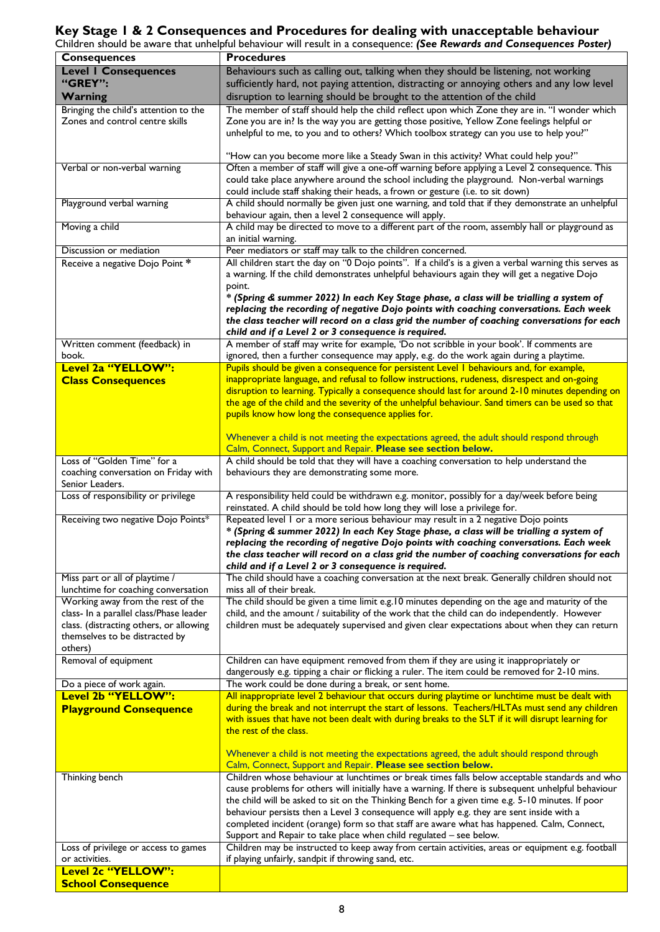# **Key Stage 1 & 2 Consequences and Procedures for dealing with unacceptable behaviour**

Children should be aware that unhelpful behaviour will result in a consequence: *(See Rewards and Consequences Poster)*

|                                                 | Crillaren siloula be aware that umleipiul behaviour will result in a consequence. (See Kewurus und Consequences Foster) |
|-------------------------------------------------|-------------------------------------------------------------------------------------------------------------------------|
| <b>Consequences</b>                             | <b>Procedures</b>                                                                                                       |
| <b>Level I Consequences</b>                     | Behaviours such as calling out, talking when they should be listening, not working                                      |
| "GREY":                                         |                                                                                                                         |
|                                                 | sufficiently hard, not paying attention, distracting or annoying others and any low level                               |
| <b>Warning</b>                                  | disruption to learning should be brought to the attention of the child                                                  |
| Bringing the child's attention to the           | The member of staff should help the child reflect upon which Zone they are in. "I wonder which                          |
| Zones and control centre skills                 | Zone you are in? Is the way you are getting those positive, Yellow Zone feelings helpful or                             |
|                                                 |                                                                                                                         |
|                                                 | unhelpful to me, to you and to others? Which toolbox strategy can you use to help you?"                                 |
|                                                 |                                                                                                                         |
|                                                 | "How can you become more like a Steady Swan in this activity? What could help you?"                                     |
| Verbal or non-verbal warning                    | Often a member of staff will give a one-off warning before applying a Level 2 consequence. This                         |
|                                                 | could take place anywhere around the school including the playground. Non-verbal warnings                               |
|                                                 |                                                                                                                         |
|                                                 | could include staff shaking their heads, a frown or gesture (i.e. to sit down)                                          |
| Playground verbal warning                       | A child should normally be given just one warning, and told that if they demonstrate an unhelpful                       |
|                                                 | behaviour again, then a level 2 consequence will apply.                                                                 |
| Moving a child                                  | A child may be directed to move to a different part of the room, assembly hall or playground as                         |
|                                                 |                                                                                                                         |
|                                                 | an initial warning.                                                                                                     |
| Discussion or mediation                         | Peer mediators or staff may talk to the children concerned.                                                             |
| Receive a negative Dojo Point *                 | All children start the day on "0 Dojo points". If a child's is a given a verbal warning this serves as                  |
|                                                 | a warning. If the child demonstrates unhelpful behaviours again they will get a negative Dojo                           |
|                                                 |                                                                                                                         |
|                                                 | point.                                                                                                                  |
|                                                 | * (Spring & summer 2022) In each Key Stage phase, a class will be trialling a system of                                 |
|                                                 | replacing the recording of negative Dojo points with coaching conversations. Each week                                  |
|                                                 | the class teacher will record on a class grid the number of coaching conversations for each                             |
|                                                 |                                                                                                                         |
|                                                 | child and if a Level 2 or 3 consequence is required.                                                                    |
| Written comment (feedback) in                   | A member of staff may write for example, 'Do not scribble in your book'. If comments are                                |
| book.                                           | ignored, then a further consequence may apply, e.g. do the work again during a playtime.                                |
| Level 2a "YELLOW":                              | Pupils should be given a consequence for persistent Level I behaviours and, for example,                                |
|                                                 | inappropriate language, and refusal to follow instructions, rudeness, disrespect and on-going                           |
| <b>Class Consequences</b>                       |                                                                                                                         |
|                                                 | disruption to learning. Typically a consequence should last for around 2-10 minutes depending on                        |
|                                                 | the age of the child and the severity of the unhelpful behaviour. Sand timers can be used so that                       |
|                                                 | pupils know how long the consequence applies for.                                                                       |
|                                                 |                                                                                                                         |
|                                                 | Whenever a child is not meeting the expectations agreed, the adult should respond through                               |
|                                                 |                                                                                                                         |
|                                                 | Calm, Connect, Support and Repair. Please see section below.                                                            |
| Loss of "Golden Time" for a                     | A child should be told that they will have a coaching conversation to help understand the                               |
| coaching conversation on Friday with            | behaviours they are demonstrating some more.                                                                            |
| Senior Leaders.                                 |                                                                                                                         |
| Loss of responsibility or privilege             | A responsibility held could be withdrawn e.g. monitor, possibly for a day/week before being                             |
|                                                 |                                                                                                                         |
|                                                 | reinstated. A child should be told how long they will lose a privilege for.                                             |
| Receiving two negative Dojo Points*             | Repeated level 1 or a more serious behaviour may result in a 2 negative Dojo points                                     |
|                                                 | * (Spring & summer 2022) In each Key Stage phase, a class will be trialling a system of                                 |
|                                                 | replacing the recording of negative Dojo points with coaching conversations. Each week                                  |
|                                                 |                                                                                                                         |
|                                                 | the class teacher will record on a class grid the number of coaching conversations for each                             |
|                                                 | child and if a Level 2 or 3 consequence is required.                                                                    |
| Miss part or all of playtime /                  | The child should have a coaching conversation at the next break. Generally children should not                          |
| lunchtime for coaching conversation             | miss all of their break.                                                                                                |
| Working away from the rest of the               | The child should be given a time limit e.g. 10 minutes depending on the age and maturity of the                         |
|                                                 |                                                                                                                         |
| class- In a parallel class/Phase leader         | child, and the amount / suitability of the work that the child can do independently. However                            |
| class. (distracting others, or allowing         | children must be adequately supervised and given clear expectations about when they can return                          |
| themselves to be distracted by                  |                                                                                                                         |
| others)                                         |                                                                                                                         |
|                                                 |                                                                                                                         |
| Removal of equipment                            | Children can have equipment removed from them if they are using it inappropriately or                                   |
|                                                 | dangerously e.g. tipping a chair or flicking a ruler. The item could be removed for 2-10 mins.                          |
| Do a piece of work again.                       | The work could be done during a break, or sent home.                                                                    |
| Level 2b "YELLOW":                              |                                                                                                                         |
|                                                 |                                                                                                                         |
|                                                 | All inappropriate level 2 behaviour that occurs during playtime or lunchtime must be dealt with                         |
| <b>Playground Consequence</b>                   | during the break and not interrupt the start of lessons. Teachers/HLTAs must send any children                          |
|                                                 | with issues that have not been dealt with during breaks to the SLT if it will disrupt learning for                      |
|                                                 | the rest of the class.                                                                                                  |
|                                                 |                                                                                                                         |
|                                                 |                                                                                                                         |
|                                                 | Whenever a child is not meeting the expectations agreed, the adult should respond through                               |
|                                                 | Calm, Connect, Support and Repair. Please see section below.                                                            |
| Thinking bench                                  | Children whose behaviour at lunchtimes or break times falls below acceptable standards and who                          |
|                                                 |                                                                                                                         |
|                                                 | cause problems for others will initially have a warning. If there is subsequent unhelpful behaviour                     |
|                                                 | the child will be asked to sit on the Thinking Bench for a given time e.g. 5-10 minutes. If poor                        |
|                                                 | behaviour persists then a Level 3 consequence will apply e.g. they are sent inside with a                               |
|                                                 | completed incident (orange) form so that staff are aware what has happened. Calm, Connect,                              |
|                                                 | Support and Repair to take place when child regulated - see below.                                                      |
|                                                 |                                                                                                                         |
| Loss of privilege or access to games            | Children may be instructed to keep away from certain activities, areas or equipment e.g. football                       |
| or activities.                                  | if playing unfairly, sandpit if throwing sand, etc.                                                                     |
| Level 2c "YELLOW":<br><b>School Consequence</b> |                                                                                                                         |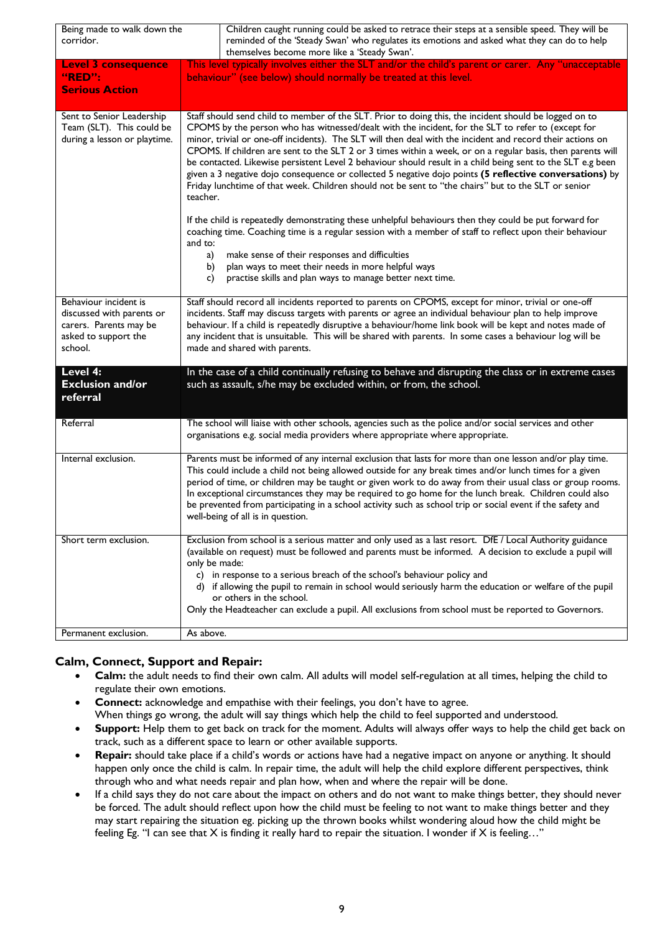| Being made to walk down the<br>corridor.                                               | Children caught running could be asked to retrace their steps at a sensible speed. They will be<br>reminded of the 'Steady Swan' who regulates its emotions and asked what they can do to help<br>themselves become more like a 'Steady Swan'.                                                                                                                                                                                                                                                                                                                                                                                                                                                                                                                                                                                                                                                                                                                                                                                                                                                                                                                                                                 |
|----------------------------------------------------------------------------------------|----------------------------------------------------------------------------------------------------------------------------------------------------------------------------------------------------------------------------------------------------------------------------------------------------------------------------------------------------------------------------------------------------------------------------------------------------------------------------------------------------------------------------------------------------------------------------------------------------------------------------------------------------------------------------------------------------------------------------------------------------------------------------------------------------------------------------------------------------------------------------------------------------------------------------------------------------------------------------------------------------------------------------------------------------------------------------------------------------------------------------------------------------------------------------------------------------------------|
| <b>Level 3 consequence</b>                                                             | This level typically involves either the SLT and/or the child's parent or carer. Any "unacceptable                                                                                                                                                                                                                                                                                                                                                                                                                                                                                                                                                                                                                                                                                                                                                                                                                                                                                                                                                                                                                                                                                                             |
| "RED":                                                                                 | behaviour" (see below) should normally be treated at this level.                                                                                                                                                                                                                                                                                                                                                                                                                                                                                                                                                                                                                                                                                                                                                                                                                                                                                                                                                                                                                                                                                                                                               |
| <b>Serious Action</b>                                                                  |                                                                                                                                                                                                                                                                                                                                                                                                                                                                                                                                                                                                                                                                                                                                                                                                                                                                                                                                                                                                                                                                                                                                                                                                                |
| Sent to Senior Leadership<br>Team (SLT). This could be<br>during a lesson or playtime. | Staff should send child to member of the SLT. Prior to doing this, the incident should be logged on to<br>CPOMS by the person who has witnessed/dealt with the incident, for the SLT to refer to (except for<br>minor, trivial or one-off incidents). The SLT will then deal with the incident and record their actions on<br>CPOMS. If children are sent to the SLT 2 or 3 times within a week, or on a regular basis, then parents will<br>be contacted. Likewise persistent Level 2 behaviour should result in a child being sent to the SLT e.g been<br>given a 3 negative dojo consequence or collected 5 negative dojo points (5 reflective conversations) by<br>Friday lunchtime of that week. Children should not be sent to "the chairs" but to the SLT or senior<br>teacher.<br>If the child is repeatedly demonstrating these unhelpful behaviours then they could be put forward for<br>coaching time. Coaching time is a regular session with a member of staff to reflect upon their behaviour<br>and to:<br>make sense of their responses and difficulties<br>a)<br>plan ways to meet their needs in more helpful ways<br>b)<br>practise skills and plan ways to manage better next time.<br>c) |
| Behaviour incident is                                                                  | Staff should record all incidents reported to parents on CPOMS, except for minor, trivial or one-off                                                                                                                                                                                                                                                                                                                                                                                                                                                                                                                                                                                                                                                                                                                                                                                                                                                                                                                                                                                                                                                                                                           |
| discussed with parents or<br>carers. Parents may be<br>asked to support the<br>school. | incidents. Staff may discuss targets with parents or agree an individual behaviour plan to help improve<br>behaviour. If a child is repeatedly disruptive a behaviour/home link book will be kept and notes made of<br>any incident that is unsuitable. This will be shared with parents. In some cases a behaviour log will be<br>made and shared with parents.                                                                                                                                                                                                                                                                                                                                                                                                                                                                                                                                                                                                                                                                                                                                                                                                                                               |
| Level 4:<br><b>Exclusion and/or</b><br>referral                                        | In the case of a child continually refusing to behave and disrupting the class or in extreme cases<br>such as assault, s/he may be excluded within, or from, the school.                                                                                                                                                                                                                                                                                                                                                                                                                                                                                                                                                                                                                                                                                                                                                                                                                                                                                                                                                                                                                                       |
| Referral                                                                               | The school will liaise with other schools, agencies such as the police and/or social services and other<br>organisations e.g. social media providers where appropriate where appropriate.                                                                                                                                                                                                                                                                                                                                                                                                                                                                                                                                                                                                                                                                                                                                                                                                                                                                                                                                                                                                                      |
| Internal exclusion.                                                                    | Parents must be informed of any internal exclusion that lasts for more than one lesson and/or play time.<br>This could include a child not being allowed outside for any break times and/or lunch times for a given<br>period of time, or children may be taught or given work to do away from their usual class or group rooms.<br>In exceptional circumstances they may be required to go home for the lunch break. Children could also<br>be prevented from participating in a school activity such as school trip or social event if the safety and<br>well-being of all is in question.                                                                                                                                                                                                                                                                                                                                                                                                                                                                                                                                                                                                                   |
| Short term exclusion.                                                                  | Exclusion from school is a serious matter and only used as a last resort. DfE / Local Authority guidance<br>(available on request) must be followed and parents must be informed. A decision to exclude a pupil will<br>only be made:                                                                                                                                                                                                                                                                                                                                                                                                                                                                                                                                                                                                                                                                                                                                                                                                                                                                                                                                                                          |
|                                                                                        | c) in response to a serious breach of the school's behaviour policy and<br>d) if allowing the pupil to remain in school would seriously harm the education or welfare of the pupil<br>or others in the school.                                                                                                                                                                                                                                                                                                                                                                                                                                                                                                                                                                                                                                                                                                                                                                                                                                                                                                                                                                                                 |
|                                                                                        | Only the Headteacher can exclude a pupil. All exclusions from school must be reported to Governors.                                                                                                                                                                                                                                                                                                                                                                                                                                                                                                                                                                                                                                                                                                                                                                                                                                                                                                                                                                                                                                                                                                            |
| Permanent exclusion.                                                                   | As above.                                                                                                                                                                                                                                                                                                                                                                                                                                                                                                                                                                                                                                                                                                                                                                                                                                                                                                                                                                                                                                                                                                                                                                                                      |

## **Calm, Connect, Support and Repair:**

- **Calm:** the adult needs to find their own calm. All adults will model self-regulation at all times, helping the child to regulate their own emotions.
- **Connect:** acknowledge and empathise with their feelings, you don't have to agree. When things go wrong, the adult will say things which help the child to feel supported and understood.
- **Support:** Help them to get back on track for the moment. Adults will always offer ways to help the child get back on track, such as a different space to learn or other available supports.
- **Repair:** should take place if a child's words or actions have had a negative impact on anyone or anything. It should happen only once the child is calm. In repair time, the adult will help the child explore different perspectives, think through who and what needs repair and plan how, when and where the repair will be done.
- If a child says they do not care about the impact on others and do not want to make things better, they should never be forced. The adult should reflect upon how the child must be feeling to not want to make things better and they may start repairing the situation eg. picking up the thrown books whilst wondering aloud how the child might be feeling Eg. "I can see that X is finding it really hard to repair the situation. I wonder if X is feeling…"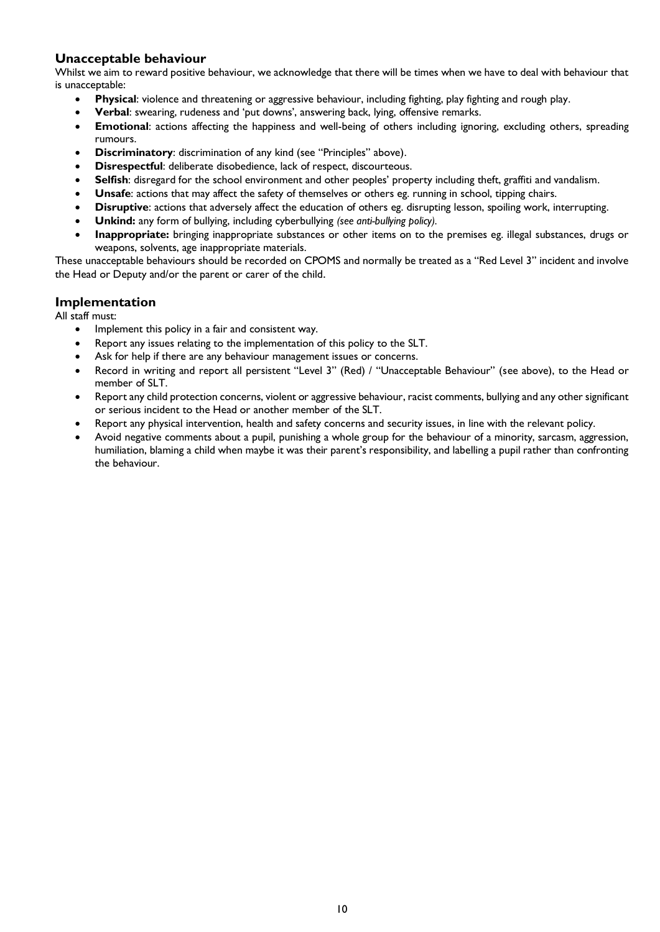## **Unacceptable behaviour**

Whilst we aim to reward positive behaviour, we acknowledge that there will be times when we have to deal with behaviour that is unacceptable:

- **Physical**: violence and threatening or aggressive behaviour, including fighting, play fighting and rough play.
- **Verbal**: swearing, rudeness and 'put downs', answering back, lying, offensive remarks.
- **Emotional**: actions affecting the happiness and well-being of others including ignoring, excluding others, spreading rumours.
- **Discriminatory:** discrimination of any kind (see "Principles" above).
- **Disrespectful**: deliberate disobedience, lack of respect, discourteous.
- **Selfish**: disregard for the school environment and other peoples' property including theft, graffiti and vandalism.
- **Unsafe**: actions that may affect the safety of themselves or others eg. running in school, tipping chairs.
- **Disruptive**: actions that adversely affect the education of others eg. disrupting lesson, spoiling work, interrupting.
- **Unkind:** any form of bullying, including cyberbullying *(see anti-bullying policy).*
- **Inappropriate:** bringing inappropriate substances or other items on to the premises eg. illegal substances, drugs or weapons, solvents, age inappropriate materials.

These unacceptable behaviours should be recorded on CPOMS and normally be treated as a "Red Level 3" incident and involve the Head or Deputy and/or the parent or carer of the child.

#### **Implementation**

All staff must:

- Implement this policy in a fair and consistent way.
- Report any issues relating to the implementation of this policy to the SLT.
- Ask for help if there are any behaviour management issues or concerns.
- Record in writing and report all persistent "Level 3" (Red) / "Unacceptable Behaviour" (see above), to the Head or member of SLT.
- Report any child protection concerns, violent or aggressive behaviour, racist comments, bullying and any other significant or serious incident to the Head or another member of the SLT.
- Report any physical intervention, health and safety concerns and security issues, in line with the relevant policy.
- Avoid negative comments about a pupil, punishing a whole group for the behaviour of a minority, sarcasm, aggression, humiliation, blaming a child when maybe it was their parent's responsibility, and labelling a pupil rather than confronting the behaviour.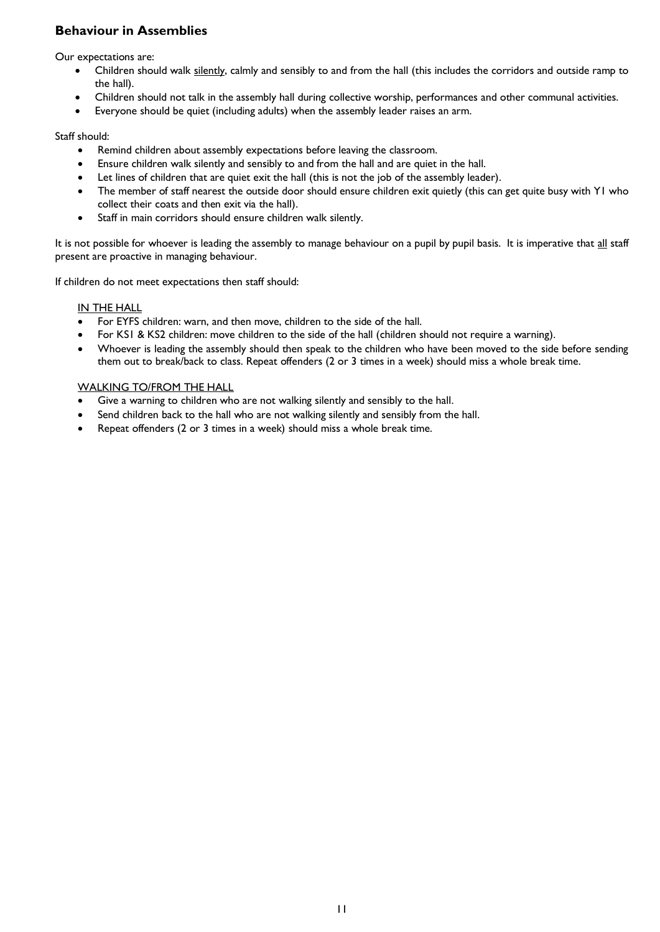# **Behaviour in Assemblies**

Our expectations are:

- Children should walk silently, calmly and sensibly to and from the hall (this includes the corridors and outside ramp to the hall).
- Children should not talk in the assembly hall during collective worship, performances and other communal activities.
- Everyone should be quiet (including adults) when the assembly leader raises an arm.

#### Staff should:

- Remind children about assembly expectations before leaving the classroom.
- Ensure children walk silently and sensibly to and from the hall and are quiet in the hall.
- Let lines of children that are quiet exit the hall (this is not the job of the assembly leader).
- The member of staff nearest the outside door should ensure children exit quietly (this can get quite busy with Y1 who collect their coats and then exit via the hall).
- Staff in main corridors should ensure children walk silently.

It is not possible for whoever is leading the assembly to manage behaviour on a pupil by pupil basis. It is imperative that all staff present are proactive in managing behaviour.

If children do not meet expectations then staff should:

#### IN THE HALL

- For EYFS children: warn, and then move, children to the side of the hall.
- For KS1 & KS2 children: move children to the side of the hall (children should not require a warning).
- Whoever is leading the assembly should then speak to the children who have been moved to the side before sending them out to break/back to class. Repeat offenders (2 or 3 times in a week) should miss a whole break time.

#### WALKING TO/FROM THE HALL

- Give a warning to children who are not walking silently and sensibly to the hall.
- Send children back to the hall who are not walking silently and sensibly from the hall.
- Repeat offenders (2 or 3 times in a week) should miss a whole break time.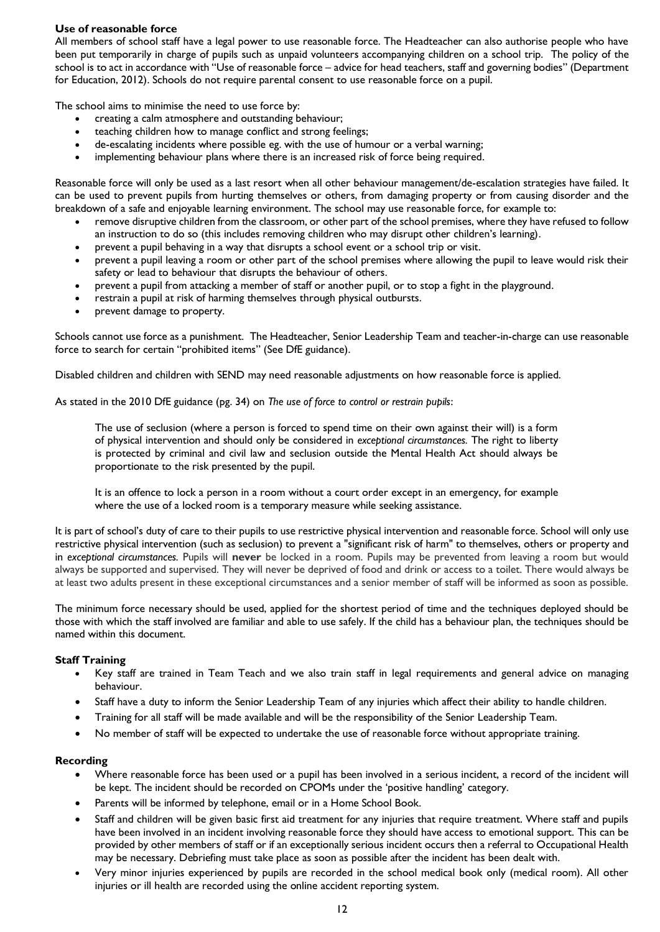#### **Use of reasonable force**

All members of school staff have a legal power to use reasonable force. The Headteacher can also authorise people who have been put temporarily in charge of pupils such as unpaid volunteers accompanying children on a school trip. The policy of the school is to act in accordance with "Use of reasonable force – advice for head teachers, staff and governing bodies" (Department for Education, 2012). Schools do not require parental consent to use reasonable force on a pupil.

The school aims to minimise the need to use force by:

- creating a calm atmosphere and outstanding behaviour;
- teaching children how to manage conflict and strong feelings;
- de-escalating incidents where possible eg. with the use of humour or a verbal warning;
- implementing behaviour plans where there is an increased risk of force being required.

Reasonable force will only be used as a last resort when all other behaviour management/de-escalation strategies have failed. It can be used to prevent pupils from hurting themselves or others, from damaging property or from causing disorder and the breakdown of a safe and enjoyable learning environment. The school may use reasonable force, for example to:

- remove disruptive children from the classroom, or other part of the school premises, where they have refused to follow an instruction to do so (this includes removing children who may disrupt other children's learning).
- prevent a pupil behaving in a way that disrupts a school event or a school trip or visit.
- prevent a pupil leaving a room or other part of the school premises where allowing the pupil to leave would risk their safety or lead to behaviour that disrupts the behaviour of others.
- prevent a pupil from attacking a member of staff or another pupil, or to stop a fight in the playground.
- restrain a pupil at risk of harming themselves through physical outbursts.
- prevent damage to property.

Schools cannot use force as a punishment. The Headteacher, Senior Leadership Team and teacher-in-charge can use reasonable force to search for certain "prohibited items" (See DfE guidance).

Disabled children and children with SEND may need reasonable adjustments on how reasonable force is applied.

As stated in the 2010 DfE guidance (pg. 34) on *The use of force to control or restrain pupils*:

The use of seclusion (where a person is forced to spend time on their own against their will) is a form of physical intervention and should only be considered in *exceptional circumstances.* The right to liberty is protected by criminal and civil law and seclusion outside the Mental Health Act should always be proportionate to the risk presented by the pupil.

It is an offence to lock a person in a room without a court order except in an emergency, for example where the use of a locked room is a temporary measure while seeking assistance.

It is part of school's duty of care to their pupils to use restrictive physical intervention and reasonable force. School will only use restrictive physical intervention (such as seclusion) to prevent a "significant risk of harm" to themselves, others or property and in *exceptional circumstances.* Pupils will **never** be locked in a room. Pupils may be prevented from leaving a room but would always be supported and supervised. They will never be deprived of food and drink or access to a toilet. There would always be at least two adults present in these exceptional circumstances and a senior member of staff will be informed as soon as possible.

The minimum force necessary should be used, applied for the shortest period of time and the techniques deployed should be those with which the staff involved are familiar and able to use safely. If the child has a behaviour plan, the techniques should be named within this document.

#### **Staff Training**

- Key staff are trained in Team Teach and we also train staff in legal requirements and general advice on managing behaviour.
- Staff have a duty to inform the Senior Leadership Team of any injuries which affect their ability to handle children.
- Training for all staff will be made available and will be the responsibility of the Senior Leadership Team.
- No member of staff will be expected to undertake the use of reasonable force without appropriate training.

#### **Recording**

- Where reasonable force has been used or a pupil has been involved in a serious incident, a record of the incident will be kept. The incident should be recorded on CPOMs under the 'positive handling' category.
- Parents will be informed by telephone, email or in a Home School Book.
- Staff and children will be given basic first aid treatment for any injuries that require treatment. Where staff and pupils have been involved in an incident involving reasonable force they should have access to emotional support. This can be provided by other members of staff or if an exceptionally serious incident occurs then a referral to Occupational Health may be necessary. Debriefing must take place as soon as possible after the incident has been dealt with.
- Very minor injuries experienced by pupils are recorded in the school medical book only (medical room). All other injuries or ill health are recorded using the online accident reporting system.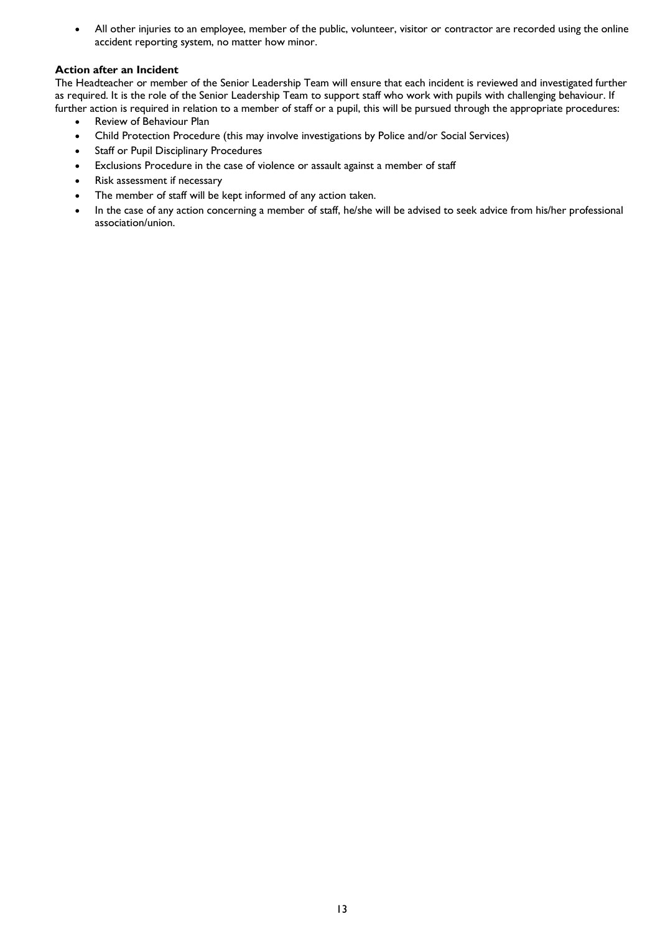• All other injuries to an employee, member of the public, volunteer, visitor or contractor are recorded using the online accident reporting system, no matter how minor.

#### **Action after an Incident**

The Headteacher or member of the Senior Leadership Team will ensure that each incident is reviewed and investigated further as required. It is the role of the Senior Leadership Team to support staff who work with pupils with challenging behaviour. If further action is required in relation to a member of staff or a pupil, this will be pursued through the appropriate procedures:

- Review of Behaviour Plan
- Child Protection Procedure (this may involve investigations by Police and/or Social Services)
- Staff or Pupil Disciplinary Procedures
- Exclusions Procedure in the case of violence or assault against a member of staff
- Risk assessment if necessary
- The member of staff will be kept informed of any action taken.
- In the case of any action concerning a member of staff, he/she will be advised to seek advice from his/her professional association/union.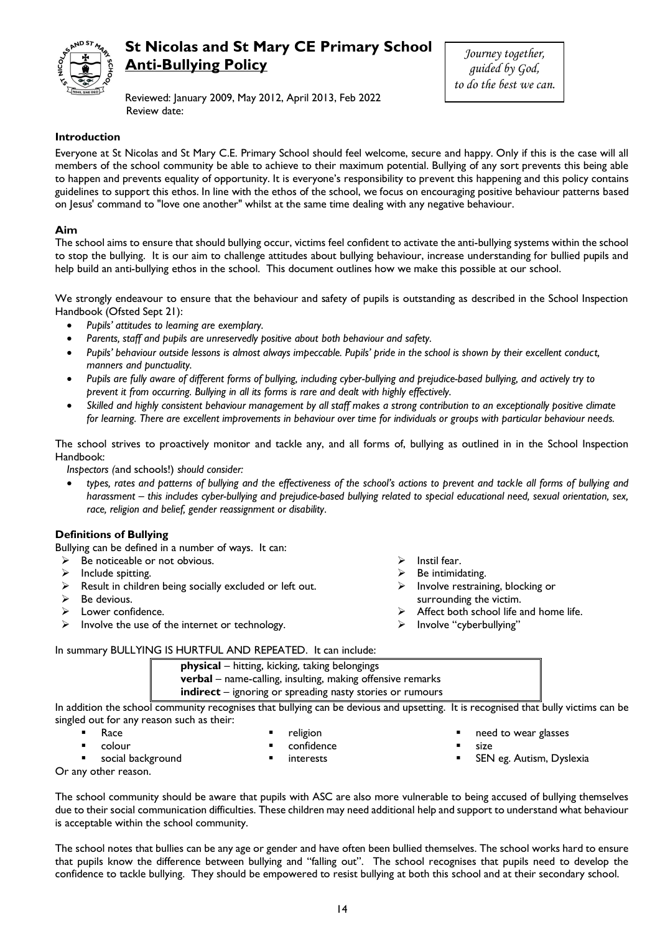

# **St Nicolas and St Mary CE Primary School Anti-Bullying Policy**

*Journey together, guided by God, to do the best we can.*

Reviewed: January 2009, May 2012, April 2013, Feb 2022 Review date:

#### **Introduction**

Everyone at St Nicolas and St Mary C.E. Primary School should feel welcome, secure and happy. Only if this is the case will all members of the school community be able to achieve to their maximum potential. Bullying of any sort prevents this being able to happen and prevents equality of opportunity. It is everyone's responsibility to prevent this happening and this policy contains guidelines to support this ethos. In line with the ethos of the school, we focus on encouraging positive behaviour patterns based on Jesus' command to "love one another" whilst at the same time dealing with any negative behaviour.

#### **Aim**

The school aims to ensure that should bullying occur, victims feel confident to activate the anti-bullying systems within the school to stop the bullying. It is our aim to challenge attitudes about bullying behaviour, increase understanding for bullied pupils and help build an anti-bullying ethos in the school. This document outlines how we make this possible at our school.

We strongly endeavour to ensure that the behaviour and safety of pupils is outstanding as described in the School Inspection Handbook (Ofsted Sept 21):

- *Pupils' attitudes to learning are exemplary.*
- *Parents, staff and pupils are unreservedly positive about both behaviour and safety.*
- *Pupils' behaviour outside lessons is almost always impeccable. Pupils' pride in the school is shown by their excellent conduct, manners and punctuality.*
- *Pupils are fully aware of different forms of bullying, including cyber-bullying and prejudice-based bullying, and actively try to prevent it from occurring. Bullying in all its forms is rare and dealt with highly effectively.*
- *Skilled and highly consistent behaviour management by all staff makes a strong contribution to an exceptionally positive climate for learning. There are excellent improvements in behaviour over time for individuals or groups with particular behaviour needs.*

The school strives to proactively monitor and tackle any, and all forms of, bullying as outlined in in the School Inspection Handbook:

*Inspectors (*and schools!) *should consider:*

 *types, rates and patterns of bullying and the effectiveness of the school's actions to prevent and tackle all forms of bullying and harassment – this includes cyber-bullying and prejudice-based bullying related to special educational need, sexual orientation, sex, race, religion and belief, gender reassignment or disability.*

#### **Definitions of Bullying**

Bullying can be defined in a number of ways. It can:

- $\triangleright$  Be noticeable or not obvious.
- $\blacktriangleright$  Include spitting.
- $\triangleright$  Result in children being socially excluded or left out.
- $\triangleright$  Be devious.
- > Lower confidence.
- $\triangleright$  Involve the use of the internet or technology.
- $\triangleright$  Instil fear.
- Be intimidating.
- $\triangleright$  Involve restraining, blocking or surrounding the victim.
- Affect both school life and home life.
- Involve "cyberbullying"

In summary BULLYING IS HURTFUL AND REPEATED. It can include:

| <b>physical</b> – hitting, kicking, taking belongings             |
|-------------------------------------------------------------------|
| <b>verbal</b> – name-calling, insulting, making offensive remarks |
| indirect - ignoring or spreading nasty stories or rumours         |

In addition the school community recognises that bullying can be devious and upsetting. It is recognised that bully victims can be singled out for any reason such as their:

- **Race** 
	- colour
- religion
	- confidence
- interests
- **social background**
- 
- 
- need to wear glasses
- size
- SEN eg. Autism, Dyslexia

Or any other reason.

The school community should be aware that pupils with ASC are also more vulnerable to being accused of bullying themselves due to their social communication difficulties. These children may need additional help and support to understand what behaviour is acceptable within the school community.

The school notes that bullies can be any age or gender and have often been bullied themselves. The school works hard to ensure that pupils know the difference between bullying and "falling out". The school recognises that pupils need to develop the confidence to tackle bullying. They should be empowered to resist bullying at both this school and at their secondary school.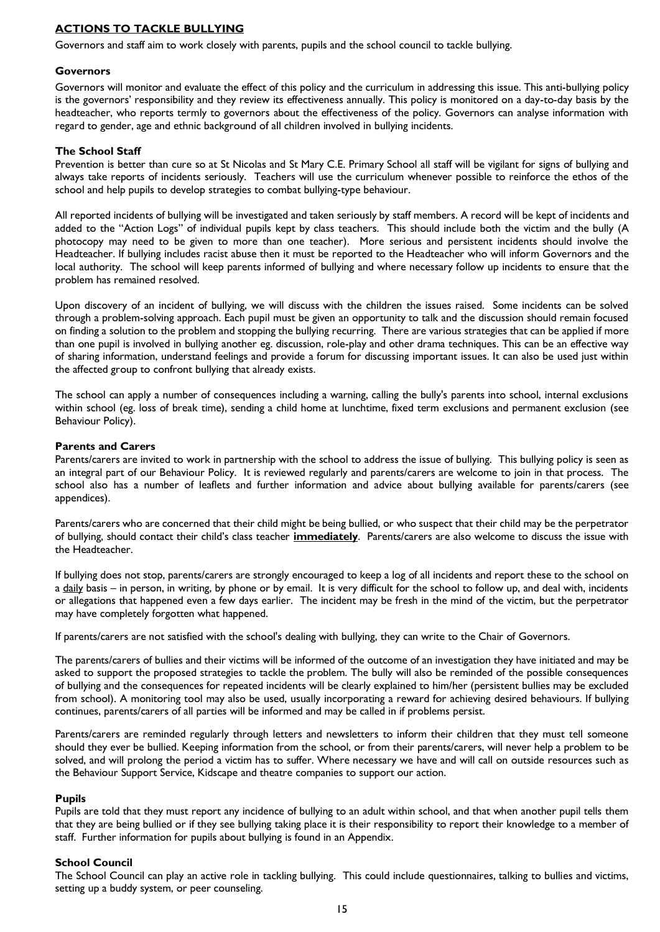#### **ACTIONS TO TACKLE BULLYING**

Governors and staff aim to work closely with parents, pupils and the school council to tackle bullying.

#### **Governors**

Governors will monitor and evaluate the effect of this policy and the curriculum in addressing this issue. This anti-bullying policy is the governors' responsibility and they review its effectiveness annually. This policy is monitored on a day-to-day basis by the headteacher, who reports termly to governors about the effectiveness of the policy. Governors can analyse information with regard to gender, age and ethnic background of all children involved in bullying incidents.

#### **The School Staff**

Prevention is better than cure so at St Nicolas and St Mary C.E. Primary School all staff will be vigilant for signs of bullying and always take reports of incidents seriously. Teachers will use the curriculum whenever possible to reinforce the ethos of the school and help pupils to develop strategies to combat bullying-type behaviour.

All reported incidents of bullying will be investigated and taken seriously by staff members. A record will be kept of incidents and added to the "Action Logs" of individual pupils kept by class teachers. This should include both the victim and the bully (A photocopy may need to be given to more than one teacher). More serious and persistent incidents should involve the Headteacher. If bullying includes racist abuse then it must be reported to the Headteacher who will inform Governors and the local authority. The school will keep parents informed of bullying and where necessary follow up incidents to ensure that the problem has remained resolved.

Upon discovery of an incident of bullying, we will discuss with the children the issues raised. Some incidents can be solved through a problem-solving approach. Each pupil must be given an opportunity to talk and the discussion should remain focused on finding a solution to the problem and stopping the bullying recurring. There are various strategies that can be applied if more than one pupil is involved in bullying another eg. discussion, role-play and other drama techniques. This can be an effective way of sharing information, understand feelings and provide a forum for discussing important issues. It can also be used just within the affected group to confront bullying that already exists.

The school can apply a number of consequences including a warning, calling the bully's parents into school, internal exclusions within school (eg. loss of break time), sending a child home at lunchtime, fixed term exclusions and permanent exclusion (see Behaviour Policy).

#### **Parents and Carers**

Parents/carers are invited to work in partnership with the school to address the issue of bullying. This bullying policy is seen as an integral part of our Behaviour Policy. It is reviewed regularly and parents/carers are welcome to join in that process. The school also has a number of leaflets and further information and advice about bullying available for parents/carers (see appendices).

Parents/carers who are concerned that their child might be being bullied, or who suspect that their child may be the perpetrator of bullying, should contact their child's class teacher **immediately**. Parents/carers are also welcome to discuss the issue with the Headteacher.

If bullying does not stop, parents/carers are strongly encouraged to keep a log of all incidents and report these to the school on a daily basis – in person, in writing, by phone or by email. It is very difficult for the school to follow up, and deal with, incidents or allegations that happened even a few days earlier. The incident may be fresh in the mind of the victim, but the perpetrator may have completely forgotten what happened.

If parents/carers are not satisfied with the school's dealing with bullying, they can write to the Chair of Governors.

The parents/carers of bullies and their victims will be informed of the outcome of an investigation they have initiated and may be asked to support the proposed strategies to tackle the problem. The bully will also be reminded of the possible consequences of bullying and the consequences for repeated incidents will be clearly explained to him/her (persistent bullies may be excluded from school). A monitoring tool may also be used, usually incorporating a reward for achieving desired behaviours. If bullying continues, parents/carers of all parties will be informed and may be called in if problems persist.

Parents/carers are reminded regularly through letters and newsletters to inform their children that they must tell someone should they ever be bullied. Keeping information from the school, or from their parents/carers, will never help a problem to be solved, and will prolong the period a victim has to suffer. Where necessary we have and will call on outside resources such as the Behaviour Support Service, Kidscape and theatre companies to support our action.

#### **Pupils**

Pupils are told that they must report any incidence of bullying to an adult within school, and that when another pupil tells them that they are being bullied or if they see bullying taking place it is their responsibility to report their knowledge to a member of staff. Further information for pupils about bullying is found in an Appendix.

#### **School Council**

The School Council can play an active role in tackling bullying. This could include questionnaires, talking to bullies and victims, setting up a buddy system, or peer counseling.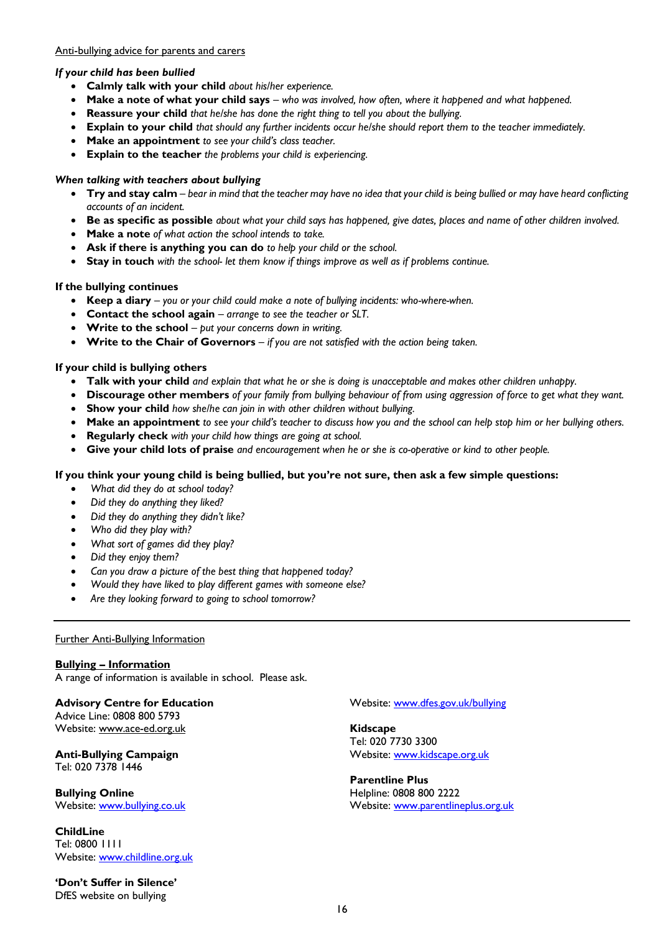#### Anti-bullying advice for parents and carers

#### *If your child has been bullied*

- **Calmly talk with your child** *about his/her experience.*
- **Make a note of what your child says** *– who was involved, how often, where it happened and what happened.*
- **Reassure your child** *that he/she has done the right thing to tell you about the bullying.*
- **Explain to your child** *that should any further incidents occur he/she should report them to the teacher immediately.*
- **Make an appointment** *to see your child's class teacher.*
- **Explain to the teacher** *the problems your child is experiencing.*

#### *When talking with teachers about bullying*

- **Try and stay calm** *– bear in mind that the teacher may have no idea that your child is being bullied or may have heard conflicting accounts of an incident.*
- **Be as specific as possible** *about what your child says has happened, give dates, places and name of other children involved.*
- **Make a note** *of what action the school intends to take.*
- **Ask if there is anything you can do** *to help your child or the school.*
- **Stay in touch** *with the school- let them know if things improve as well as if problems continue.*

#### **If the bullying continues**

- **Keep a diary** *– you or your child could make a note of bullying incidents: who-where-when.*
- **Contact the school again** *– arrange to see the teacher or SLT.*
- **Write to the school** *– put your concerns down in writing.*
- **Write to the Chair of Governors** *– if you are not satisfied with the action being taken.*

#### **If your child is bullying others**

- **Talk with your child** *and explain that what he or she is doing is unacceptable and makes other children unhappy.*
- **Discourage other members** *of your family from bullying behaviour of from using aggression of force to get what they want.*
- **Show your child** *how she/he can join in with other children without bullying.*
- **Make an appointment** *to see your child's teacher to discuss how you and the school can help stop him or her bullying others.*
- **Regularly check** *with your child how things are going at school.*
- **Give your child lots of praise** *and encouragement when he or she is co-operative or kind to other people.*

#### **If you think your young child is being bullied, but you're not sure, then ask a few simple questions:**

- *What did they do at school today?*
- *Did they do anything they liked?*
- *Did they do anything they didn't like?*
- *Who did they play with?*
- *What sort of games did they play?*
- *Did they enjoy them?*
- *Can you draw a picture of the best thing that happened today?*
- *Would they have liked to play different games with someone else?*
- *Are they looking forward to going to school tomorrow?*

#### Further Anti-Bullying Information

#### **Bullying – Information**

A range of information is available in school. Please ask.

#### **Advisory Centre for Education** Advice Line: 0808 800 5793

Website: www.ace-ed.org.uk

#### **Anti-Bullying Campaign** Tel: 020 7378 1446

**Bullying Online** Website: [www.bullying.co.uk](http://www.bullying.co.uk/)

**ChildLine** Tel: 0800 1111 Website: [www.childline.org.uk](http://www.childline.org.uk/)

**'Don't Suffer in Silence'**  DfES website on bullying

#### Website: [www.dfes.gov.uk/bullying](http://www.dfes.gov.uk/bullying)

**Kidscape** Tel: 020 7730 3300 Website: [www.kidscape.org.uk](http://www.kidscape.org.uk/)

#### **Parentline Plus** Helpline: 0808 800 2222 Website: [www.parentlineplus.org.uk](http://www.parentlineplus.org.uk/)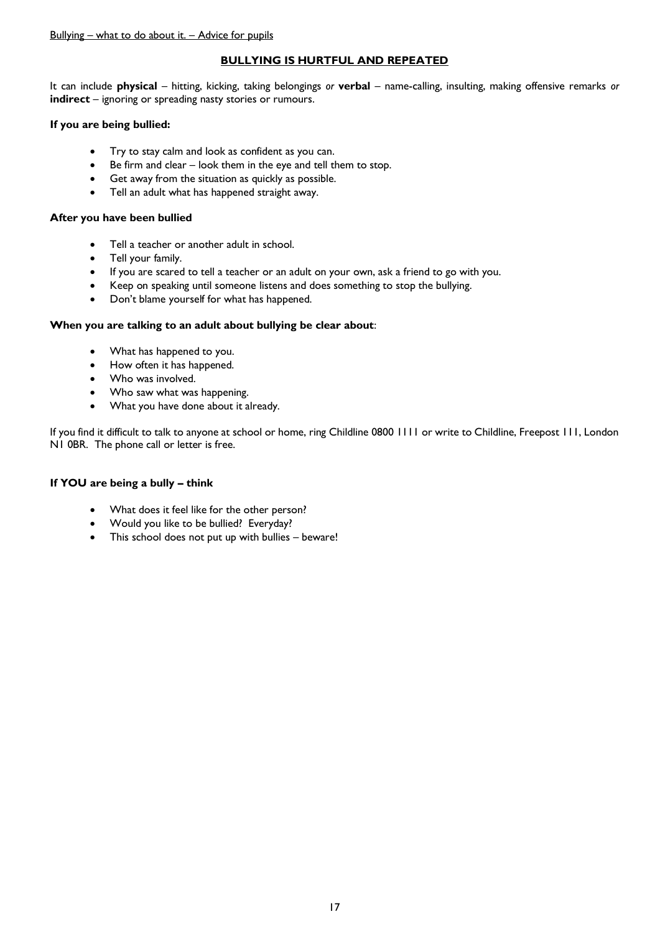#### **BULLYING IS HURTFUL AND REPEATED**

It can include **physical** – hitting, kicking, taking belongings *or* **verbal** – name-calling, insulting, making offensive remarks *or*  **indirect** – ignoring or spreading nasty stories or rumours.

#### **If you are being bullied:**

- Try to stay calm and look as confident as you can.
- Be firm and clear look them in the eye and tell them to stop.
- Get away from the situation as quickly as possible.
- Tell an adult what has happened straight away.

#### **After you have been bullied**

- Tell a teacher or another adult in school.
- Tell your family.
- If you are scared to tell a teacher or an adult on your own, ask a friend to go with you.
- Keep on speaking until someone listens and does something to stop the bullying.
- Don't blame yourself for what has happened.

#### **When you are talking to an adult about bullying be clear about**:

- What has happened to you.
- How often it has happened.
- Who was involved.
- Who saw what was happening.
- What you have done about it already.

If you find it difficult to talk to anyone at school or home, ring Childline 0800 1111 or write to Childline, Freepost 111, London N1 0BR. The phone call or letter is free.

#### **If YOU are being a bully – think**

- What does it feel like for the other person?
- Would you like to be bullied? Everyday?
- This school does not put up with bullies beware!